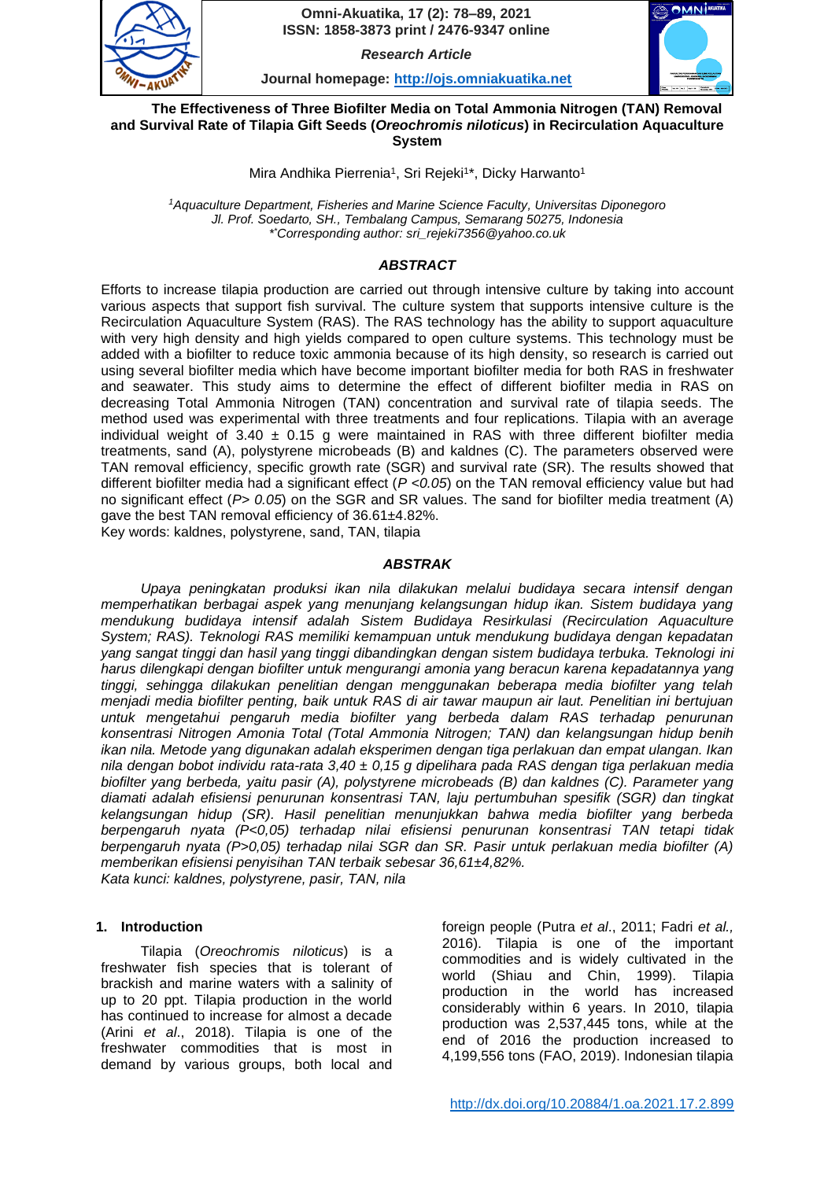

**78** *Research Article*

**Journal homepage: [http://ojs.omniakuatika.net](http://ojs.omniakuatika.net/)**



**The Effectiveness of Three Biofilter Media on Total Ammonia Nitrogen (TAN) Removal and Survival Rate of Tilapia Gift Seeds (***Oreochromis niloticus***) in Recirculation Aquaculture System**

Mira Andhika Pierrenia<sup>1</sup>, Sri Rejeki<sup>1\*</sup>, Dicky Harwanto<sup>1</sup>

*<sup>1</sup>Aquaculture Department, Fisheries and Marine Science Faculty, Universitas Diponegoro Jl. Prof. Soedarto, SH., Tembalang Campus, Semarang 50275, Indonesia \* \*[Corresponding author: sri\\_rejeki7356@y](mailto:*sri_rejeki7356@)ahoo.co.uk*

# *ABSTRACT*

Efforts to increase tilapia production are carried out through intensive culture by taking into account various aspects that support fish survival. The culture system that supports intensive culture is the Recirculation Aquaculture System (RAS). The RAS technology has the ability to support aquaculture with very high density and high yields compared to open culture systems. This technology must be added with a biofilter to reduce toxic ammonia because of its high density, so research is carried out using several biofilter media which have become important biofilter media for both RAS in freshwater and seawater. This study aims to determine the effect of different biofilter media in RAS on decreasing Total Ammonia Nitrogen (TAN) concentration and survival rate of tilapia seeds. The method used was experimental with three treatments and four replications. Tilapia with an average individual weight of  $3.40 \pm 0.15$  g were maintained in RAS with three different biofilter media treatments, sand (A), polystyrene microbeads (B) and kaldnes (C). The parameters observed were TAN removal efficiency, specific growth rate (SGR) and survival rate (SR). The results showed that different biofilter media had a significant effect (*P <0.05*) on the TAN removal efficiency value but had no significant effect (*P> 0.05*) on the SGR and SR values. The sand for biofilter media treatment (A) gave the best TAN removal efficiency of 36.61±4.82%.

Key words: kaldnes, polystyrene, sand, TAN, tilapia

# *ABSTRAK*

*Upaya peningkatan produksi ikan nila dilakukan melalui budidaya secara intensif dengan memperhatikan berbagai aspek yang menunjang kelangsungan hidup ikan. Sistem budidaya yang mendukung budidaya intensif adalah Sistem Budidaya Resirkulasi (Recirculation Aquaculture System; RAS). Teknologi RAS memiliki kemampuan untuk mendukung budidaya dengan kepadatan yang sangat tinggi dan hasil yang tinggi dibandingkan dengan sistem budidaya terbuka. Teknologi ini harus dilengkapi dengan biofilter untuk mengurangi amonia yang beracun karena kepadatannya yang tinggi, sehingga dilakukan penelitian dengan menggunakan beberapa media biofilter yang telah menjadi media biofilter penting, baik untuk RAS di air tawar maupun air laut. Penelitian ini bertujuan untuk mengetahui pengaruh media biofilter yang berbeda dalam RAS terhadap penurunan konsentrasi Nitrogen Amonia Total (Total Ammonia Nitrogen; TAN) dan kelangsungan hidup benih ikan nila. Metode yang digunakan adalah eksperimen dengan tiga perlakuan dan empat ulangan. Ikan nila dengan bobot individu rata-rata 3,40 ± 0,15 g dipelihara pada RAS dengan tiga perlakuan media biofilter yang berbeda, yaitu pasir (A), polystyrene microbeads (B) dan kaldnes (C). Parameter yang diamati adalah efisiensi penurunan konsentrasi TAN, laju pertumbuhan spesifik (SGR) dan tingkat kelangsungan hidup (SR). Hasil penelitian menunjukkan bahwa media biofilter yang berbeda berpengaruh nyata (P<0,05) terhadap nilai efisiensi penurunan konsentrasi TAN tetapi tidak berpengaruh nyata (P>0,05) terhadap nilai SGR dan SR. Pasir untuk perlakuan media biofilter (A) memberikan efisiensi penyisihan TAN terbaik sebesar 36,61±4,82%. Kata kunci: kaldnes, polystyrene, pasir, TAN, nila*

# **1. Introduction**

Tilapia (*Oreochromis niloticus*) is a freshwater fish species that is tolerant of brackish and marine waters with a salinity of up to 20 ppt. Tilapia production in the world has continued to increase for almost a decade (Arini *et al*., 2018). Tilapia is one of the freshwater commodities that is most in demand by various groups, both local and foreign people (Putra *et al*., 2011; Fadri *et al.,* 2016). Tilapia is one of the important commodities and is widely cultivated in the world (Shiau and Chin, 1999). Tilapia production in the world has increased considerably within 6 years. In 2010, tilapia production was 2,537,445 tons, while at the end of 2016 the production increased to 4,199,556 tons (FAO, 2019). Indonesian tilapia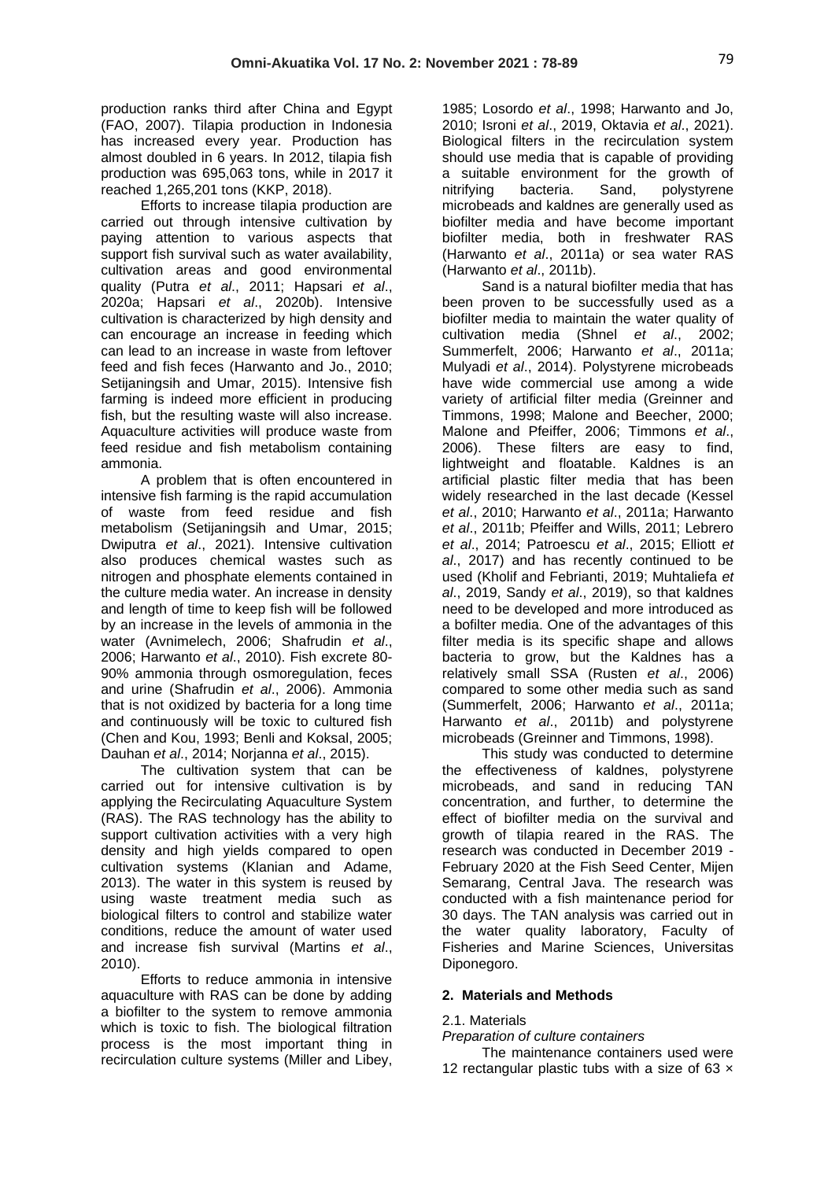production ranks third after China and Egypt (FAO, 2007). Tilapia production in Indonesia has increased every year. Production has almost doubled in 6 years. In 2012, tilapia fish production was 695,063 tons, while in 2017 it reached 1,265,201 tons (KKP, 2018).

Efforts to increase tilapia production are carried out through intensive cultivation by paying attention to various aspects that support fish survival such as water availability, cultivation areas and good environmental quality (Putra *et al*., 2011; Hapsari *et al*., 2020a; Hapsari *et al*., 2020b). Intensive cultivation is characterized by high density and can encourage an increase in feeding which can lead to an increase in waste from leftover feed and fish feces (Harwanto and Jo., 2010; Setijaningsih and Umar, 2015). Intensive fish farming is indeed more efficient in producing fish, but the resulting waste will also increase. Aquaculture activities will produce waste from feed residue and fish metabolism containing ammonia.

A problem that is often encountered in intensive fish farming is the rapid accumulation of waste from feed residue and fish metabolism (Setijaningsih and Umar, 2015; Dwiputra *et al*., 2021). Intensive cultivation also produces chemical wastes such as nitrogen and phosphate elements contained in the culture media water. An increase in density and length of time to keep fish will be followed by an increase in the levels of ammonia in the water (Avnimelech, 2006; Shafrudin *et al*., 2006; Harwanto *et al*., 2010). Fish excrete 80- 90% ammonia through osmoregulation, feces and urine (Shafrudin *et al*., 2006). Ammonia that is not oxidized by bacteria for a long time and continuously will be toxic to cultured fish (Chen and Kou, 1993; Benli and Koksal, 2005; Dauhan *et al*., 2014; Norjanna *et al*., 2015).

The cultivation system that can be carried out for intensive cultivation is by applying the Recirculating Aquaculture System (RAS). The RAS technology has the ability to support cultivation activities with a very high density and high yields compared to open cultivation systems (Klanian and Adame, 2013). The water in this system is reused by using waste treatment media such as biological filters to control and stabilize water conditions, reduce the amount of water used and increase fish survival (Martins *et al*., 2010).

Efforts to reduce ammonia in intensive aquaculture with RAS can be done by adding a biofilter to the system to remove ammonia which is toxic to fish. The biological filtration process is the most important thing in recirculation culture systems (Miller and Libey, 1985; Losordo *et al*., 1998; Harwanto and Jo, 2010; Isroni *et al*., 2019, Oktavia *et al*., 2021). Biological filters in the recirculation system should use media that is capable of providing a suitable environment for the growth of nitrifying bacteria. Sand, polystyrene microbeads and kaldnes are generally used as biofilter media and have become important biofilter media, both in freshwater RAS (Harwanto *et al*., 2011a) or sea water RAS (Harwanto *et al*., 2011b).

Sand is a natural biofilter media that has been proven to be successfully used as a biofilter media to maintain the water quality of cultivation media (Shnel *et al*., 2002; Summerfelt, 2006; Harwanto *et al*., 2011a; Mulyadi *et al*., 2014). Polystyrene microbeads have wide commercial use among a wide variety of artificial filter media (Greinner and Timmons, 1998; Malone and Beecher, 2000; Malone and Pfeiffer, 2006; Timmons *et al*., 2006). These filters are easy to find, lightweight and floatable. Kaldnes is an artificial plastic filter media that has been widely researched in the last decade (Kessel *et al*., 2010; Harwanto *et al*., 2011a; Harwanto *et al*., 2011b; Pfeiffer and Wills, 2011; Lebrero *et al*., 2014; Patroescu *et al*., 2015; Elliott *et al*., 2017) and has recently continued to be used (Kholif and Febrianti, 2019; Muhtaliefa *et al*., 2019, Sandy *et al*., 2019), so that kaldnes need to be developed and more introduced as a bofilter media. One of the advantages of this filter media is its specific shape and allows bacteria to grow, but the Kaldnes has a relatively small SSA (Rusten *et al*., 2006) compared to some other media such as sand (Summerfelt, 2006; Harwanto *et al*., 2011a; Harwanto *et al*., 2011b) and polystyrene microbeads (Greinner and Timmons, 1998).

This study was conducted to determine the effectiveness of kaldnes, polystyrene microbeads, and sand in reducing TAN concentration, and further, to determine the effect of biofilter media on the survival and growth of tilapia reared in the RAS. The research was conducted in December 2019 - February 2020 at the Fish Seed Center, Mijen Semarang, Central Java. The research was conducted with a fish maintenance period for 30 days. The TAN analysis was carried out in the water quality laboratory, Faculty of Fisheries and Marine Sciences, Universitas Diponegoro.

# **2. Materials and Methods**

## 2.1. Materials

*Preparation of culture containers*

The maintenance containers used were 12 rectangular plastic tubs with a size of 63  $\times$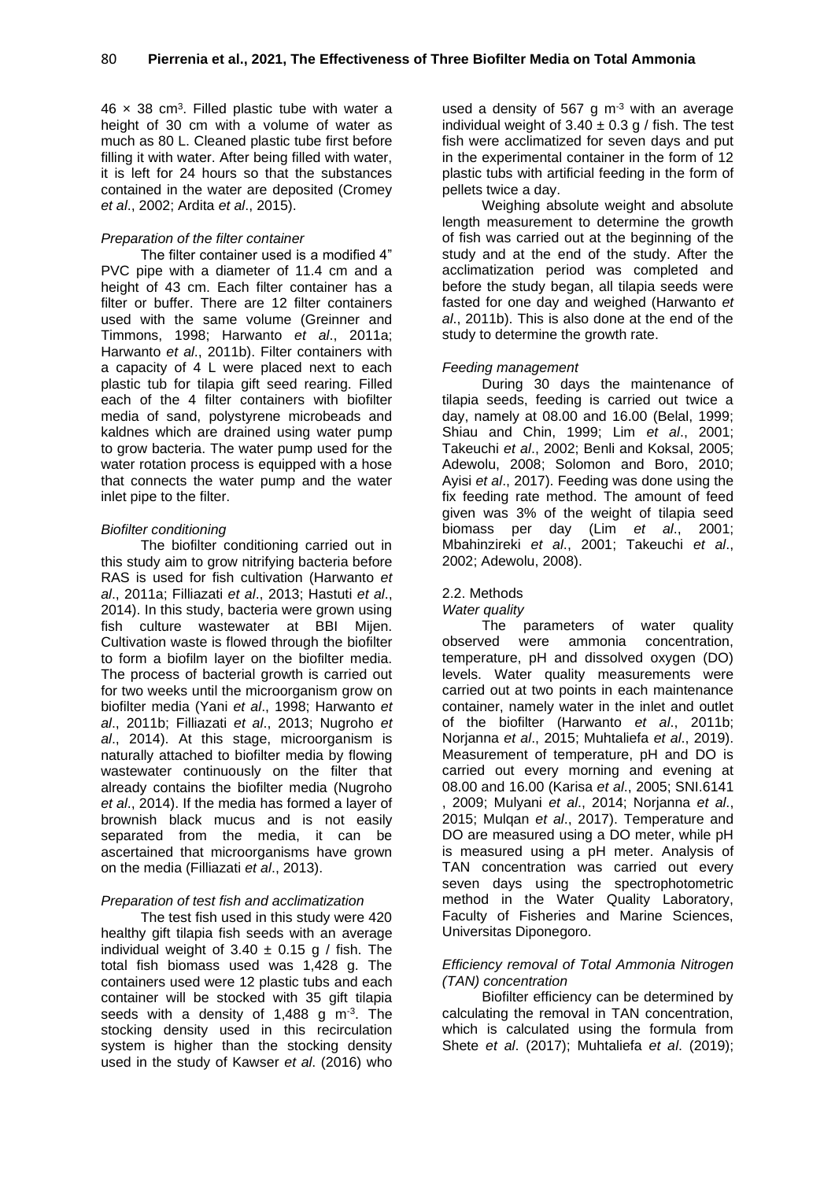$46 \times 38$  cm<sup>3</sup>. Filled plastic tube with water a height of 30 cm with a volume of water as much as 80 L. Cleaned plastic tube first before filling it with water. After being filled with water, it is left for 24 hours so that the substances contained in the water are deposited (Cromey *et al*., 2002; Ardita *et al*., 2015).

## *Preparation of the filter container*

The filter container used is a modified 4" PVC pipe with a diameter of 11.4 cm and a height of 43 cm. Each filter container has a filter or buffer. There are 12 filter containers used with the same volume (Greinner and Timmons, 1998; Harwanto *et al*., 2011a; Harwanto *et al*., 2011b). Filter containers with a capacity of 4 L were placed next to each plastic tub for tilapia gift seed rearing. Filled each of the 4 filter containers with biofilter media of sand, polystyrene microbeads and kaldnes which are drained using water pump to grow bacteria. The water pump used for the water rotation process is equipped with a hose that connects the water pump and the water inlet pipe to the filter.

### *Biofilter conditioning*

The biofilter conditioning carried out in this study aim to grow nitrifying bacteria before RAS is used for fish cultivation (Harwanto *et al*., 2011a; Filliazati *et al*., 2013; Hastuti *et al*., 2014). In this study, bacteria were grown using fish culture wastewater at BBI Mijen. Cultivation waste is flowed through the biofilter to form a biofilm layer on the biofilter media. The process of bacterial growth is carried out for two weeks until the microorganism grow on biofilter media (Yani *et al*., 1998; Harwanto *et al*., 2011b; Filliazati *et al*., 2013; Nugroho *et al*., 2014). At this stage, microorganism is naturally attached to biofilter media by flowing wastewater continuously on the filter that already contains the biofilter media (Nugroho *et al*., 2014). If the media has formed a layer of brownish black mucus and is not easily separated from the media, it can be ascertained that microorganisms have grown on the media (Filliazati *et al*., 2013).

## *Preparation of test fish and acclimatization*

The test fish used in this study were 420 healthy gift tilapia fish seeds with an average individual weight of  $3.40 \pm 0.15$  g / fish. The total fish biomass used was 1,428 g. The containers used were 12 plastic tubs and each container will be stocked with 35 gift tilapia seeds with a density of  $1,488$  g m<sup>-3</sup>. The stocking density used in this recirculation system is higher than the stocking density used in the study of Kawser *et al*. (2016) who

used a density of 567 g  $m<sup>-3</sup>$  with an average individual weight of  $3.40 \pm 0.3$  g / fish. The test fish were acclimatized for seven days and put in the experimental container in the form of 12 plastic tubs with artificial feeding in the form of pellets twice a day.

Weighing absolute weight and absolute length measurement to determine the growth of fish was carried out at the beginning of the study and at the end of the study. After the acclimatization period was completed and before the study began, all tilapia seeds were fasted for one day and weighed (Harwanto *et al*., 2011b). This is also done at the end of the study to determine the growth rate.

### *Feeding management*

During 30 days the maintenance of tilapia seeds, feeding is carried out twice a day, namely at 08.00 and 16.00 (Belal, 1999; Shiau and Chin, 1999; Lim *et al*., 2001; Takeuchi *et al*., 2002; Benli and Koksal, 2005; Adewolu, 2008; Solomon and Boro, 2010; Ayisi *et al*., 2017). Feeding was done using the fix feeding rate method. The amount of feed given was 3% of the weight of tilapia seed biomass per day (Lim *et al*., 2001; Mbahinzireki *et al*., 2001; Takeuchi *et al*., 2002; Adewolu, 2008).

## 2.2. Methods

#### *Water quality*

The parameters of water quality observed were ammonia concentration, temperature, pH and dissolved oxygen (DO) levels. Water quality measurements were carried out at two points in each maintenance container, namely water in the inlet and outlet of the biofilter (Harwanto *et al*., 2011b; Norjanna *et al*., 2015; Muhtaliefa *et al*., 2019). Measurement of temperature, pH and DO is carried out every morning and evening at 08.00 and 16.00 (Karisa *et al*., 2005; SNI.6141 , 2009; Mulyani *et al*., 2014; Norjanna *et al*., 2015; Mulqan *et al*., 2017). Temperature and DO are measured using a DO meter, while pH is measured using a pH meter. Analysis of TAN concentration was carried out every seven days using the spectrophotometric method in the Water Quality Laboratory, Faculty of Fisheries and Marine Sciences, Universitas Diponegoro.

## *Efficiency removal of Total Ammonia Nitrogen (TAN) concentration*

Biofilter efficiency can be determined by calculating the removal in TAN concentration, which is calculated using the formula from Shete *et al*. (2017); Muhtaliefa *et al*. (2019);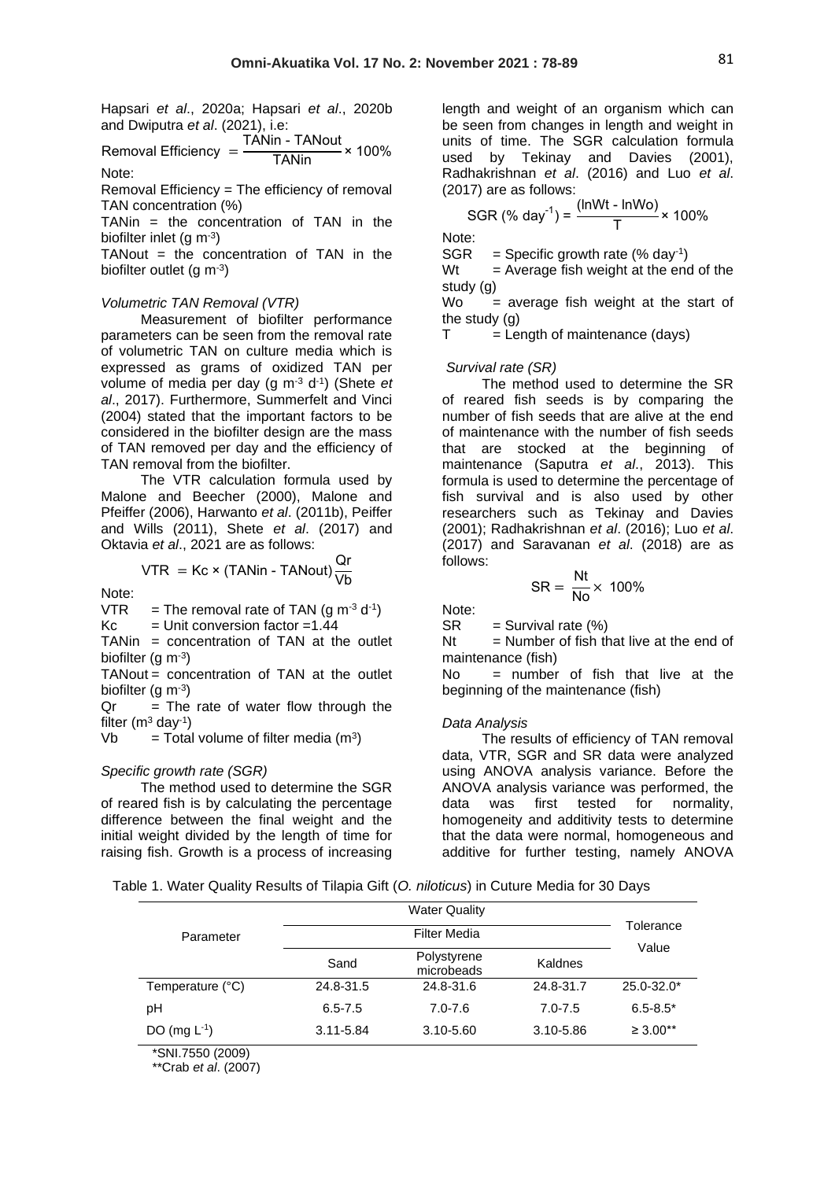Hapsari *et al*., 2020a; Hapsari *et al*., 2020b and Dwiputra *et al*. (2021), i.e:

Removal Efficiency = <sup>TANin - TANout</sup> × 100%<br>TANin Note:

Removal Efficiency = The efficiency of removal TAN concentration (%)

TANin = the concentration of TAN in the biofilter inlet (g m-3)

 $TANout = the concentration of TAN in the$ biofilter outlet (g  $m^{-3}$ )

### *Volumetric TAN Removal (VTR)*

Measurement of biofilter performance parameters can be seen from the removal rate of volumetric TAN on culture media which is expressed as grams of oxidized TAN per volume of media per day (g m<sup>-3</sup> d<sup>-1</sup>) (Shete *et al*., 2017). Furthermore, Summerfelt and Vinci (2004) stated that the important factors to be considered in the biofilter design are the mass of TAN removed per day and the efficiency of TAN removal from the biofilter.

The VTR calculation formula used by Malone and Beecher (2000), Malone and Pfeiffer (2006), Harwanto *et al*. (2011b), Peiffer and Wills (2011), Shete *et al*. (2017) and Oktavia *et al*., 2021 are as follows:

$$
VTR = Kc \times (TANin - TANout) \frac{Qr}{Vb}
$$

Note:

VTR = The removal rate of TAN (g m<sup>-3</sup> d<sup>-1</sup>)  $Kc =$  Unit conversion factor =1.44

TANin = concentration of TAN at the outlet biofilter (g m-3)

TANout = concentration of TAN at the outlet biofilter (g m-3)

 $Qr = The rate of water flow through the$ filter (m $3$  day $^{-1}$ )

 $Vb = Total volume of filter media (m<sup>3</sup>)$ 

#### *Specific growth rate (SGR)*

The method used to determine the SGR of reared fish is by calculating the percentage difference between the final weight and the initial weight divided by the length of time for raising fish. Growth is a process of increasing

length and weight of an organism which can be seen from changes in length and weight in units of time. The SGR calculation formula used by Tekinay and Davies (2001), Radhakrishnan *et al*. (2016) and Luo *et al*. (2017) are as follows:

SGR (%) day<sup>-1</sup>) = 
$$
\frac{\text{(lnWt - lnWo)}}{T}
$$
 × 100%

Note:

 $SGR = Specific growth rate (% day<sup>-1</sup>)$ 

 $Wt = Average fish weight at the end of the$ study (g)

 $Wo$  = average fish weight at the start of the study (g)

 $T =$  Length of maintenance (days)

#### *Survival rate (SR)*

The method used to determine the SR of reared fish seeds is by comparing the number of fish seeds that are alive at the end of maintenance with the number of fish seeds that are stocked at the beginning of maintenance (Saputra *et al*., 2013). This formula is used to determine the percentage of fish survival and is also used by other researchers such as Tekinay and Davies (2001); Radhakrishnan *et al*. (2016); Luo *et al*. (2017) and Saravanan *et al*. (2018) are as follows:

$$
SR = \frac{Nt}{No} \times 100\%
$$

Note:

 $SR =$  Survival rate  $(\%)$ 

 $Nt = Number$  of fish that live at the end of maintenance (fish)

No = number of fish that live at the beginning of the maintenance (fish)

#### *Data Analysis*

The results of efficiency of TAN removal data, VTR, SGR and SR data were analyzed using ANOVA analysis variance. Before the ANOVA analysis variance was performed, the data was first tested for normality, homogeneity and additivity tests to determine that the data were normal, homogeneous and additive for further testing, namely ANOVA

|  |  |  |  | Table 1. Water Quality Results of Tilapia Gift (O. niloticus) in Cuture Media for 30 Days |
|--|--|--|--|-------------------------------------------------------------------------------------------|
|--|--|--|--|-------------------------------------------------------------------------------------------|

|                   |               | Tolerance<br>Value        |             |                |
|-------------------|---------------|---------------------------|-------------|----------------|
| Parameter         |               |                           |             |                |
|                   | Sand          | Polystyrene<br>microbeads | Kaldnes     |                |
| Temperature (°C)  | 24.8-31.5     | 24.8-31.6                 | 24.8-31.7   | $25.0 - 32.0*$ |
| рH                | $6.5 - 7.5$   | $7.0 - 7.6$               | $7.0 - 7.5$ | $6.5 - 8.5*$   |
| DO (mg $L^{-1}$ ) | $3.11 - 5.84$ | 3.10-5.60                 | 3.10-5.86   | $\geq 3.00**$  |
| *SNL7550 (2009)   |               |                           |             |                |

\*\*Crab *et al*. (2007)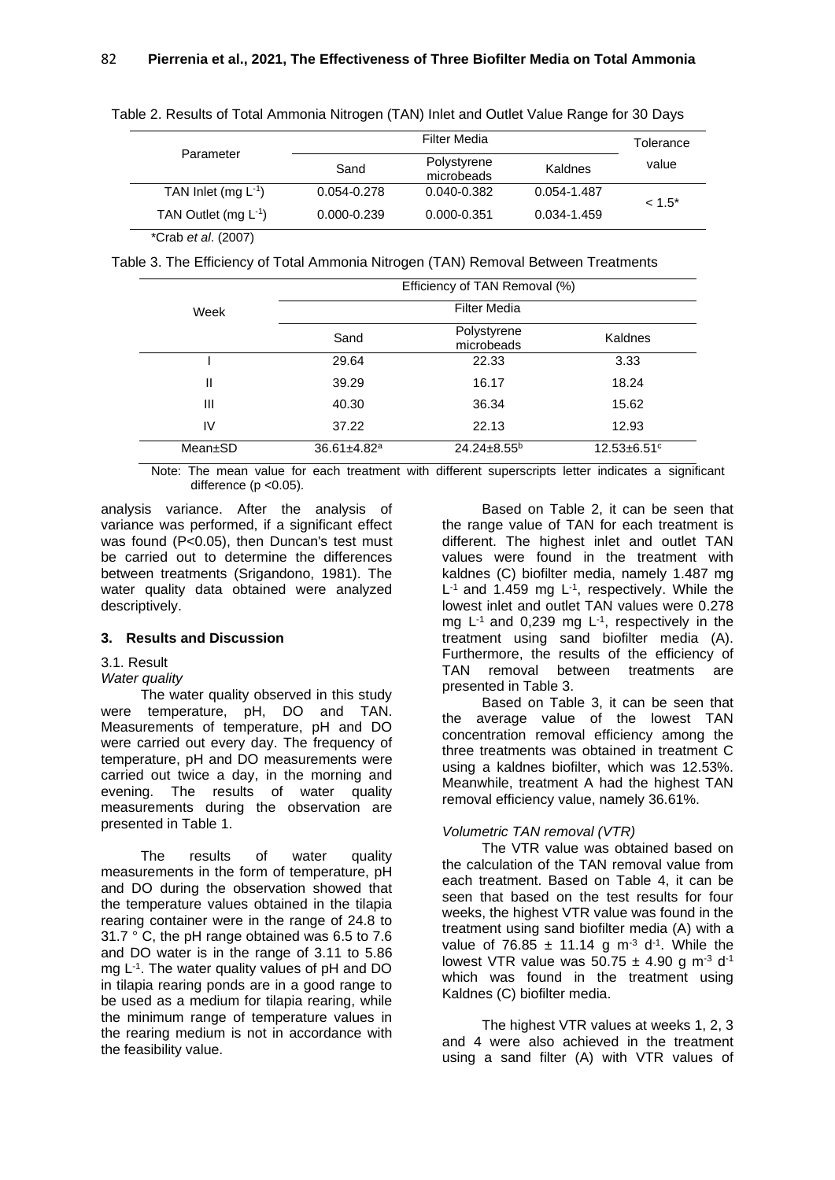|                            |                 | Tolerance                 |             |           |  |
|----------------------------|-----------------|---------------------------|-------------|-----------|--|
| Parameter                  | Sand            | Polystyrene<br>microbeads | Kaldnes     | value     |  |
| TAN Inlet (mg $L^{-1}$ )   | $0.054 - 0.278$ | $0.040 - 0.382$           | 0.054-1.487 | $< 1.5^*$ |  |
| TAN Outlet (mg $L^{-1}$ )  | $0.000 - 0.239$ | $0.000 - 0.351$           | 0.034-1.459 |           |  |
| *Crab <i>et al.</i> (2007) |                 |                           |             |           |  |

Table 2. Results of Total Ammonia Nitrogen (TAN) Inlet and Outlet Value Range for 30 Days

Table 3. The Efficiency of Total Ammonia Nitrogen (TAN) Removal Between Treatments

|         |                               | Efficiency of TAN Removal (%) |                             |
|---------|-------------------------------|-------------------------------|-----------------------------|
| Week    |                               | <b>Filter Media</b>           |                             |
|         | Sand                          | Polystyrene<br>microbeads     | Kaldnes                     |
|         | 29.64                         | 22.33                         | 3.33                        |
| Ш       | 39.29                         | 16.17                         | 18.24                       |
| Ш       | 40.30                         | 36.34                         | 15.62                       |
| IV      | 37.22                         | 22.13                         | 12.93                       |
| Mean±SD | $36.61 \pm 4.82$ <sup>a</sup> | $24.24 \pm 8.55^b$            | $12.53 + 6.51$ <sup>c</sup> |

Note: The mean value for each treatment with different superscripts letter indicates a significant difference ( $p$  < 0.05).

analysis variance. After the analysis of variance was performed, if a significant effect was found (P<0.05), then Duncan's test must be carried out to determine the differences between treatments (Srigandono, 1981). The water quality data obtained were analyzed descriptively.

## **3. Results and Discussion**

## 3.1. Result

## *Water quality*

The water quality observed in this study were temperature, pH, DO and TAN. Measurements of temperature, pH and DO were carried out every day. The frequency of temperature, pH and DO measurements were carried out twice a day, in the morning and evening. The results of water quality measurements during the observation are presented in Table 1.

The results of water quality measurements in the form of temperature, pH and DO during the observation showed that the temperature values obtained in the tilapia rearing container were in the range of 24.8 to 31.7 ° C, the pH range obtained was 6.5 to 7.6 and DO water is in the range of 3.11 to 5.86 mg L -1 . The water quality values of pH and DO in tilapia rearing ponds are in a good range to be used as a medium for tilapia rearing, while the minimum range of temperature values in the rearing medium is not in accordance with the feasibility value.

Based on Table 2, it can be seen that the range value of TAN for each treatment is different. The highest inlet and outlet TAN values were found in the treatment with kaldnes (C) biofilter media, namely 1.487 mg  $L^{-1}$  and 1.459 mg  $L^{-1}$ , respectively. While the lowest inlet and outlet TAN values were 0.278 mg  $L^{-1}$  and 0,239 mg  $L^{-1}$ , respectively in the treatment using sand biofilter media (A). Furthermore, the results of the efficiency of TAN removal between treatments are presented in Table 3.

Based on Table 3, it can be seen that the average value of the lowest TAN concentration removal efficiency among the three treatments was obtained in treatment C using a kaldnes biofilter, which was 12.53%. Meanwhile, treatment A had the highest TAN removal efficiency value, namely 36.61%.

# *Volumetric TAN removal (VTR)*

The VTR value was obtained based on the calculation of the TAN removal value from each treatment. Based on Table 4, it can be seen that based on the test results for four weeks, the highest VTR value was found in the treatment using sand biofilter media (A) with a value of 76.85  $\pm$  11.14 g m<sup>-3</sup> d<sup>-1</sup>. While the lowest VTR value was  $50.75 \pm 4.90$  g m<sup>-3</sup> d<sup>-1</sup> which was found in the treatment using Kaldnes (C) biofilter media.

The highest VTR values at weeks 1, 2, 3 and 4 were also achieved in the treatment using a sand filter (A) with VTR values of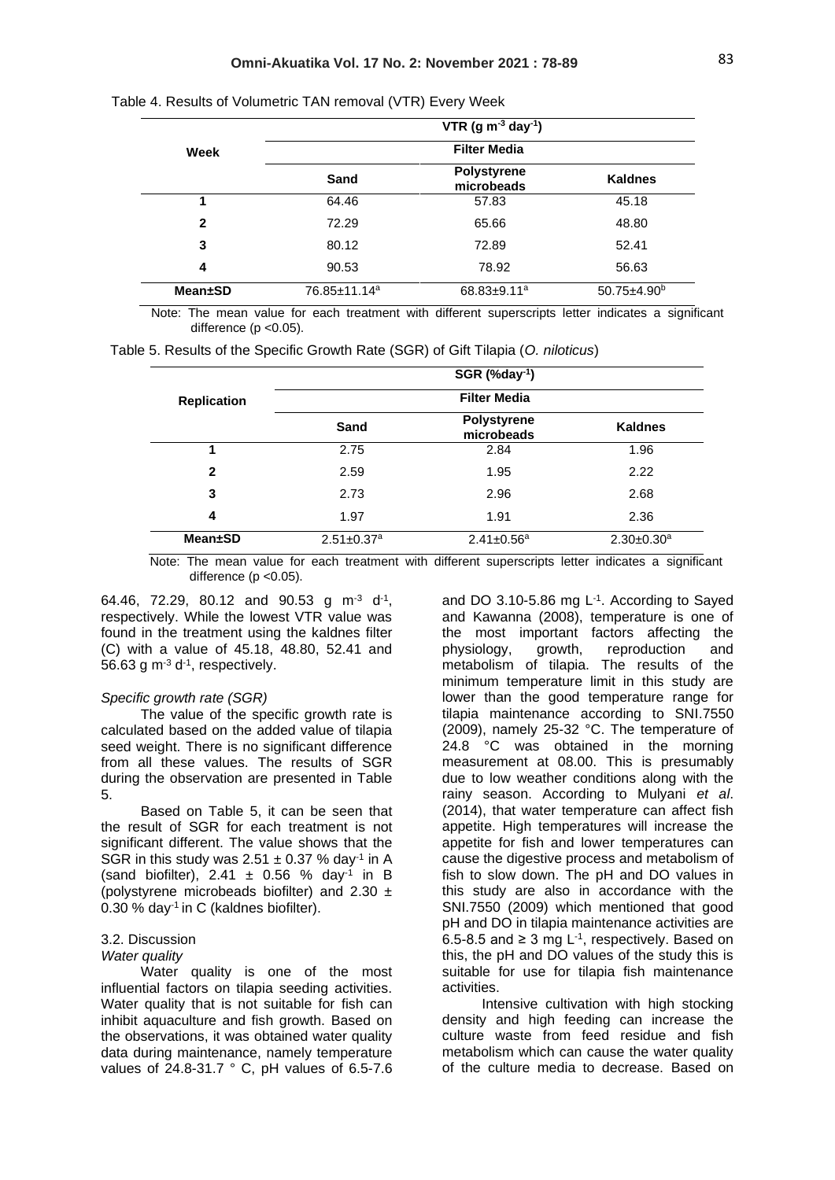|                 |              | VTR (g $m^{-3}$ day <sup>-1</sup> ) |                          |
|-----------------|--------------|-------------------------------------|--------------------------|
| Week            |              | <b>Filter Media</b>                 |                          |
|                 | Sand         | <b>Polystyrene</b><br>microbeads    | <b>Kaldnes</b>           |
| 1               | 64.46        | 57.83                               | 45.18                    |
| $\mathbf{2}$    | 72.29        | 65.66                               | 48.80                    |
| 3               | 80.12        | 72.89                               | 52.41                    |
| 4               | 90.53        | 78.92                               | 56.63                    |
| <b>Mean</b> ±SD | 76.85±11.14ª | $68.83 \pm 9.11$ <sup>a</sup>       | $50.75 \pm 4.90^{\circ}$ |

Table 4. Results of Volumetric TAN removal (VTR) Every Week

Note: The mean value for each treatment with different superscripts letter indicates a significant difference (p < 0.05).

|                    |                              | SGR (%day-1)                     |                              |
|--------------------|------------------------------|----------------------------------|------------------------------|
| <b>Replication</b> |                              | <b>Filter Media</b>              |                              |
|                    | Sand                         | <b>Polystyrene</b><br>microbeads | <b>Kaldnes</b>               |
| 1                  | 2.75                         | 2.84                             | 1.96                         |
| $\mathbf{2}$       | 2.59                         | 1.95                             | 2.22                         |
| 3                  | 2.73                         | 2.96                             | 2.68                         |
| 4                  | 1.97                         | 1.91                             | 2.36                         |
| <b>Mean±SD</b>     | $2.51 \pm 0.37$ <sup>a</sup> | $2.41 \pm 0.56^a$                | $2.30 \pm 0.30$ <sup>a</sup> |

Note: The mean value for each treatment with different superscripts letter indicates a significant difference ( $p$  < 0.05).

64.46, 72.29, 80.12 and 90.53 g m<sup>-3</sup> d<sup>-1</sup>, respectively. While the lowest VTR value was found in the treatment using the kaldnes filter (C) with a value of 45.18, 48.80, 52.41 and 56.63 g  $\text{m}$ <sup>-3</sup> d<sup>-1</sup>, respectively.

### *Specific growth rate (SGR)*

The value of the specific growth rate is calculated based on the added value of tilapia seed weight. There is no significant difference from all these values. The results of SGR during the observation are presented in Table 5.

Based on Table 5, it can be seen that the result of SGR for each treatment is not significant different. The value shows that the SGR in this study was  $2.51 \pm 0.37$  % day<sup>-1</sup> in A (sand biofilter), 2.41  $\pm$  0.56 % day<sup>-1</sup> in B (polystyrene microbeads biofilter) and  $2.30 \pm$ 0.30 % day<sup>-1</sup> in C (kaldnes biofilter).

#### 3.2. Discussion

#### *Water quality*

Water quality is one of the most influential factors on tilapia seeding activities. Water quality that is not suitable for fish can inhibit aquaculture and fish growth. Based on the observations, it was obtained water quality data during maintenance, namely temperature values of 24.8-31.7 ° C, pH values of 6.5-7.6

and DO  $3.10 - 5.86$  mg  $L^{-1}$ . According to Sayed and Kawanna (2008), temperature is one of the most important factors affecting the physiology, growth, reproduction and metabolism of tilapia. The results of the minimum temperature limit in this study are lower than the good temperature range for tilapia maintenance according to SNI.7550 (2009), namely 25-32 °C. The temperature of 24.8 °C was obtained in the morning measurement at 08.00. This is presumably due to low weather conditions along with the rainy season. According to Mulyani *et al*. (2014), that water temperature can affect fish appetite. High temperatures will increase the appetite for fish and lower temperatures can cause the digestive process and metabolism of fish to slow down. The pH and DO values in this study are also in accordance with the SNI.7550 (2009) which mentioned that good pH and DO in tilapia maintenance activities are 6.5-8.5 and ≥ 3 mg L<sup>-1</sup>, respectively. Based on this, the pH and DO values of the study this is suitable for use for tilapia fish maintenance activities.

Intensive cultivation with high stocking density and high feeding can increase the culture waste from feed residue and fish metabolism which can cause the water quality of the culture media to decrease. Based on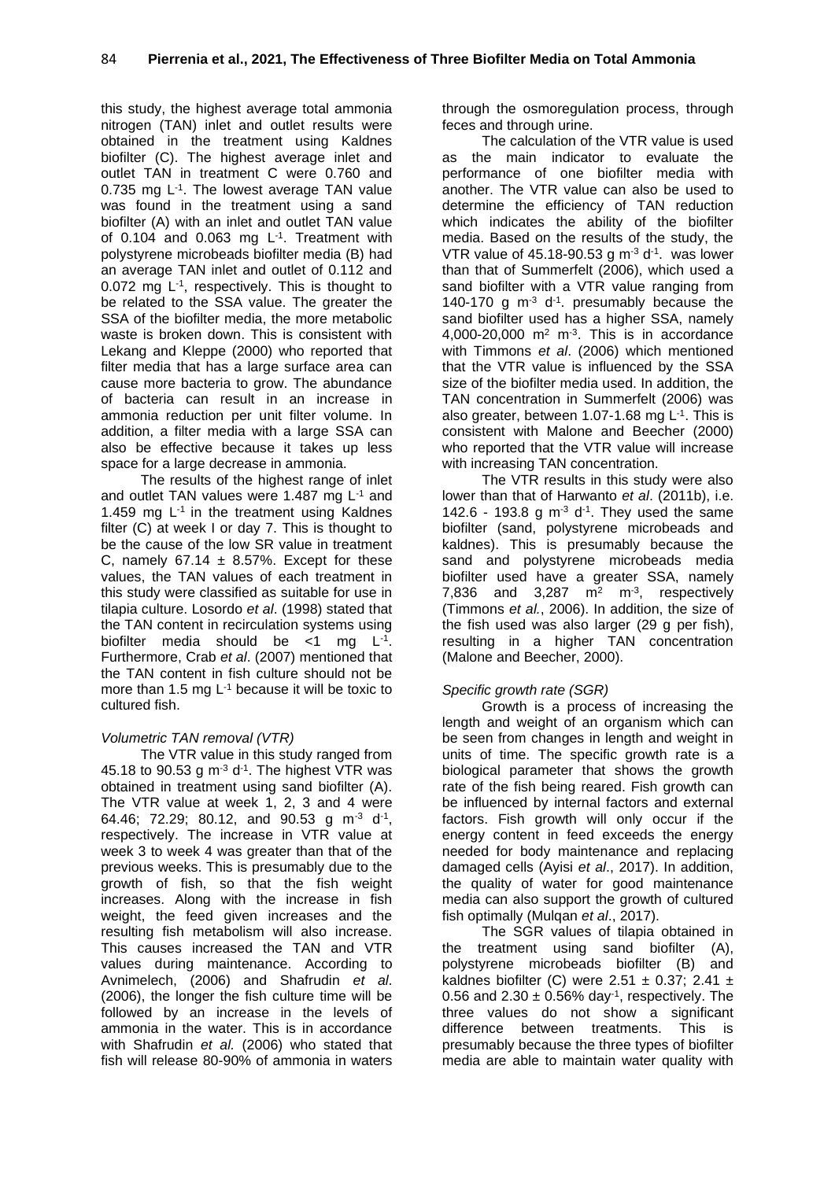this study, the highest average total ammonia nitrogen (TAN) inlet and outlet results were obtained in the treatment using Kaldnes biofilter (C). The highest average inlet and outlet TAN in treatment C were 0.760 and 0.735 mg L<sup>-1</sup>. The lowest average TAN value was found in the treatment using a sand biofilter (A) with an inlet and outlet TAN value of  $0.104$  and  $0.063$  mg  $L^{-1}$ . Treatment with polystyrene microbeads biofilter media (B) had an average TAN inlet and outlet of 0.112 and  $0.072$  mg  $L^{-1}$ , respectively. This is thought to be related to the SSA value. The greater the SSA of the biofilter media, the more metabolic waste is broken down. This is consistent with Lekang and Kleppe (2000) who reported that filter media that has a large surface area can cause more bacteria to grow. The abundance of bacteria can result in an increase in ammonia reduction per unit filter volume. In addition, a filter media with a large SSA can also be effective because it takes up less space for a large decrease in ammonia.

The results of the highest range of inlet and outlet TAN values were 1.487 mg L-1 and 1.459 mg L-1 in the treatment using Kaldnes filter (C) at week I or day 7. This is thought to be the cause of the low SR value in treatment C, namely  $67.14 \pm 8.57\%$ . Except for these values, the TAN values of each treatment in this study were classified as suitable for use in tilapia culture. Losordo *et al*. (1998) stated that the TAN content in recirculation systems using biofilter media should be  $\lt 1$  mg  $L^{-1}$ . Furthermore, Crab *et al*. (2007) mentioned that the TAN content in fish culture should not be more than 1.5 mg  $L^{-1}$  because it will be toxic to cultured fish.

# *Volumetric TAN removal (VTR)*

The VTR value in this study ranged from 45.18 to 90.53 g  $\text{m}^3$  d<sup>-1</sup>. The highest VTR was obtained in treatment using sand biofilter (A). The VTR value at week 1, 2, 3 and 4 were 64.46; 72.29; 80.12, and 90.53 g m<sup>-3</sup> d<sup>-1</sup>, respectively. The increase in VTR value at week 3 to week 4 was greater than that of the previous weeks. This is presumably due to the growth of fish, so that the fish weight increases. Along with the increase in fish weight, the feed given increases and the resulting fish metabolism will also increase. This causes increased the TAN and VTR values during maintenance. According to Avnimelech, (2006) and Shafrudin *et al*. (2006), the longer the fish culture time will be followed by an increase in the levels of ammonia in the water. This is in accordance with Shafrudin *et al.* (2006) who stated that fish will release 80-90% of ammonia in waters through the osmoregulation process, through feces and through urine.

The calculation of the VTR value is used as the main indicator to evaluate the performance of one biofilter media with another. The VTR value can also be used to determine the efficiency of TAN reduction which indicates the ability of the biofilter media. Based on the results of the study, the VTR value of 45.18-90.53 g  $\text{m}^3$  d<sup>-1</sup>. was lower than that of Summerfelt (2006), which used a sand biofilter with a VTR value ranging from 140-170 g  $m<sup>-3</sup>$  d<sup>-1</sup>. presumably because the sand biofilter used has a higher SSA, namely  $4,000-20,000$  m<sup>2</sup> m<sup>-3</sup>. This is in accordance with Timmons *et al*. (2006) which mentioned that the VTR value is influenced by the SSA size of the biofilter media used. In addition, the TAN concentration in Summerfelt (2006) was also greater, between 1.07-1.68 mg  $L^{-1}$ . This is consistent with Malone and Beecher (2000) who reported that the VTR value will increase with increasing TAN concentration.

The VTR results in this study were also lower than that of Harwanto *et al*. (2011b), i.e. 142.6 - 193.8 g  $m^3$  d<sup>-1</sup>. They used the same biofilter (sand, polystyrene microbeads and kaldnes). This is presumably because the sand and polystyrene microbeads media biofilter used have a greater SSA, namely 7,836 and  $3,287$  m<sup>2</sup> m<sup>-3</sup>, respectively (Timmons *et al.*, 2006). In addition, the size of the fish used was also larger (29 g per fish), resulting in a higher TAN concentration (Malone and Beecher, 2000).

# *Specific growth rate (SGR)*

Growth is a process of increasing the length and weight of an organism which can be seen from changes in length and weight in units of time. The specific growth rate is a biological parameter that shows the growth rate of the fish being reared. Fish growth can be influenced by internal factors and external factors. Fish growth will only occur if the energy content in feed exceeds the energy needed for body maintenance and replacing damaged cells (Ayisi *et al*., 2017). In addition, the quality of water for good maintenance media can also support the growth of cultured fish optimally (Mulqan *et al*., 2017).

The SGR values of tilapia obtained in the treatment using sand biofilter (A), polystyrene microbeads biofilter (B) and kaldnes biofilter (C) were  $2.51 \pm 0.37$ ; 2.41  $\pm$ 0.56 and  $2.30 \pm 0.56\%$  day<sup>-1</sup>, respectively. The three values do not show a significant difference between treatments. This is presumably because the three types of biofilter media are able to maintain water quality with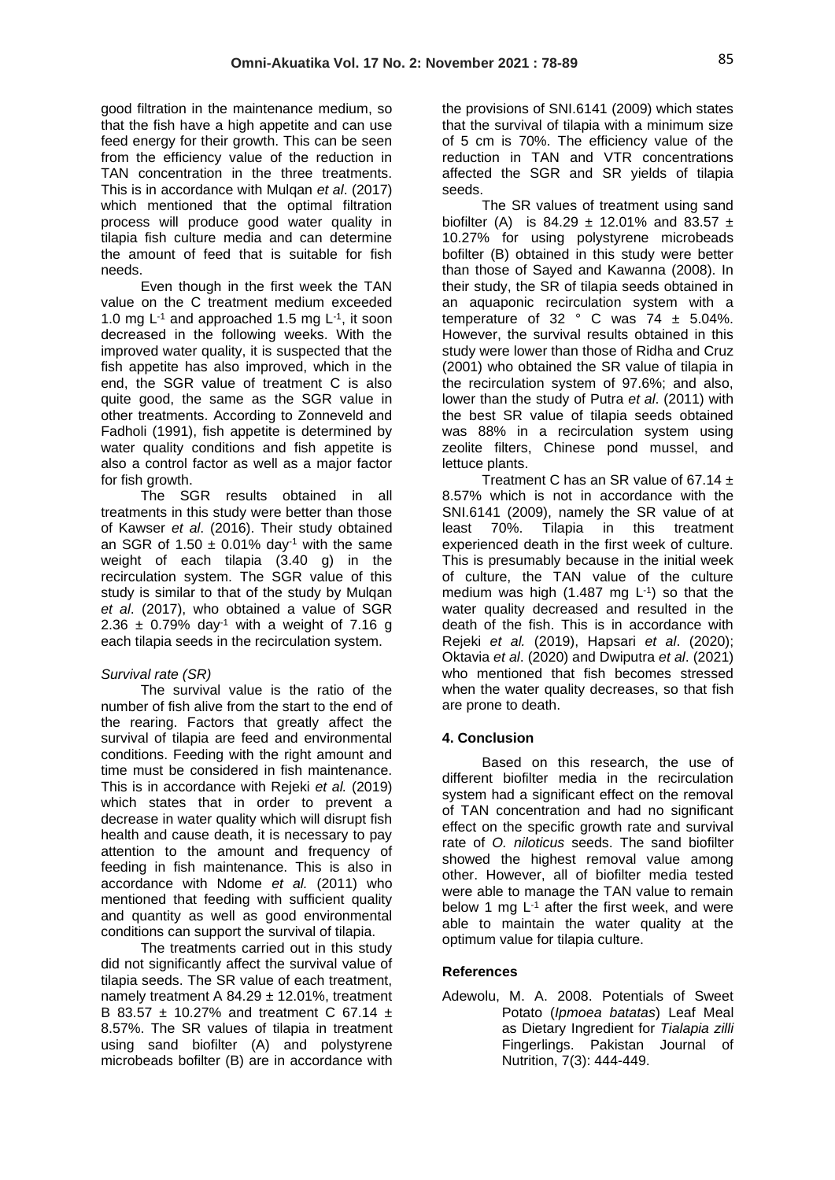good filtration in the maintenance medium, so that the fish have a high appetite and can use feed energy for their growth. This can be seen from the efficiency value of the reduction in TAN concentration in the three treatments. This is in accordance with Mulqan *et al*. (2017) which mentioned that the optimal filtration process will produce good water quality in tilapia fish culture media and can determine the amount of feed that is suitable for fish needs.

Even though in the first week the TAN value on the C treatment medium exceeded 1.0 mg  $L^{-1}$  and approached 1.5 mg  $L^{-1}$ , it soon decreased in the following weeks. With the improved water quality, it is suspected that the fish appetite has also improved, which in the end, the SGR value of treatment C is also quite good, the same as the SGR value in other treatments. According to Zonneveld and Fadholi (1991), fish appetite is determined by water quality conditions and fish appetite is also a control factor as well as a major factor for fish growth.

The SGR results obtained in all treatments in this study were better than those of Kawser *et al*. (2016). Their study obtained an SGR of 1.50  $\pm$  0.01% day<sup>-1</sup> with the same weight of each tilapia (3.40 g) in the recirculation system. The SGR value of this study is similar to that of the study by Mulqan *et al*. (2017), who obtained a value of SGR 2.36  $\pm$  0.79% day<sup>-1</sup> with a weight of 7.16 g each tilapia seeds in the recirculation system.

## *Survival rate (SR)*

The survival value is the ratio of the number of fish alive from the start to the end of the rearing. Factors that greatly affect the survival of tilapia are feed and environmental conditions. Feeding with the right amount and time must be considered in fish maintenance. This is in accordance with Rejeki *et al.* (2019) which states that in order to prevent a decrease in water quality which will disrupt fish health and cause death, it is necessary to pay attention to the amount and frequency of feeding in fish maintenance. This is also in accordance with Ndome *et al.* (2011) who mentioned that feeding with sufficient quality and quantity as well as good environmental conditions can support the survival of tilapia.

The treatments carried out in this study did not significantly affect the survival value of tilapia seeds. The SR value of each treatment, namely treatment A  $84.29 \pm 12.01\%$ , treatment B 83.57  $\pm$  10.27% and treatment C 67.14  $\pm$ 8.57%. The SR values of tilapia in treatment using sand biofilter (A) and polystyrene microbeads bofilter (B) are in accordance with

the provisions of SNI.6141 (2009) which states that the survival of tilapia with a minimum size of 5 cm is 70%. The efficiency value of the reduction in TAN and VTR concentrations affected the SGR and SR yields of tilapia seeds.

The SR values of treatment using sand biofilter (A) is 84.29  $\pm$  12.01% and 83.57  $\pm$ 10.27% for using polystyrene microbeads bofilter (B) obtained in this study were better than those of Sayed and Kawanna (2008). In their study, the SR of tilapia seeds obtained in an aquaponic recirculation system with a temperature of 32  $\degree$  C was 74  $\pm$  5.04%. However, the survival results obtained in this study were lower than those of Ridha and Cruz (2001) who obtained the SR value of tilapia in the recirculation system of 97.6%; and also, lower than the study of Putra *et al*. (2011) with the best SR value of tilapia seeds obtained was 88% in a recirculation system using zeolite filters, Chinese pond mussel, and lettuce plants.

Treatment C has an SR value of 67.14  $\pm$ 8.57% which is not in accordance with the SNI.6141 (2009), namely the SR value of at least 70%. Tilapia in this treatment experienced death in the first week of culture. This is presumably because in the initial week of culture, the TAN value of the culture medium was high  $(1.487 \text{ mg } L^{-1})$  so that the water quality decreased and resulted in the death of the fish. This is in accordance with Rejeki *et al.* (2019), Hapsari *et al*. (2020); Oktavia *et al*. (2020) and Dwiputra *et al*. (2021) who mentioned that fish becomes stressed when the water quality decreases, so that fish are prone to death.

### **4. Conclusion**

Based on this research, the use of different biofilter media in the recirculation system had a significant effect on the removal of TAN concentration and had no significant effect on the specific growth rate and survival rate of *O. niloticus* seeds. The sand biofilter showed the highest removal value among other. However, all of biofilter media tested were able to manage the TAN value to remain below 1 mg  $L^{-1}$  after the first week, and were able to maintain the water quality at the optimum value for tilapia culture.

### **References**

Adewolu, M. A. 2008. Potentials of Sweet Potato (*Ipmoea batatas*) Leaf Meal as Dietary Ingredient for *Tialapia zilli* Fingerlings. Pakistan Journal of Nutrition, 7(3): 444-449.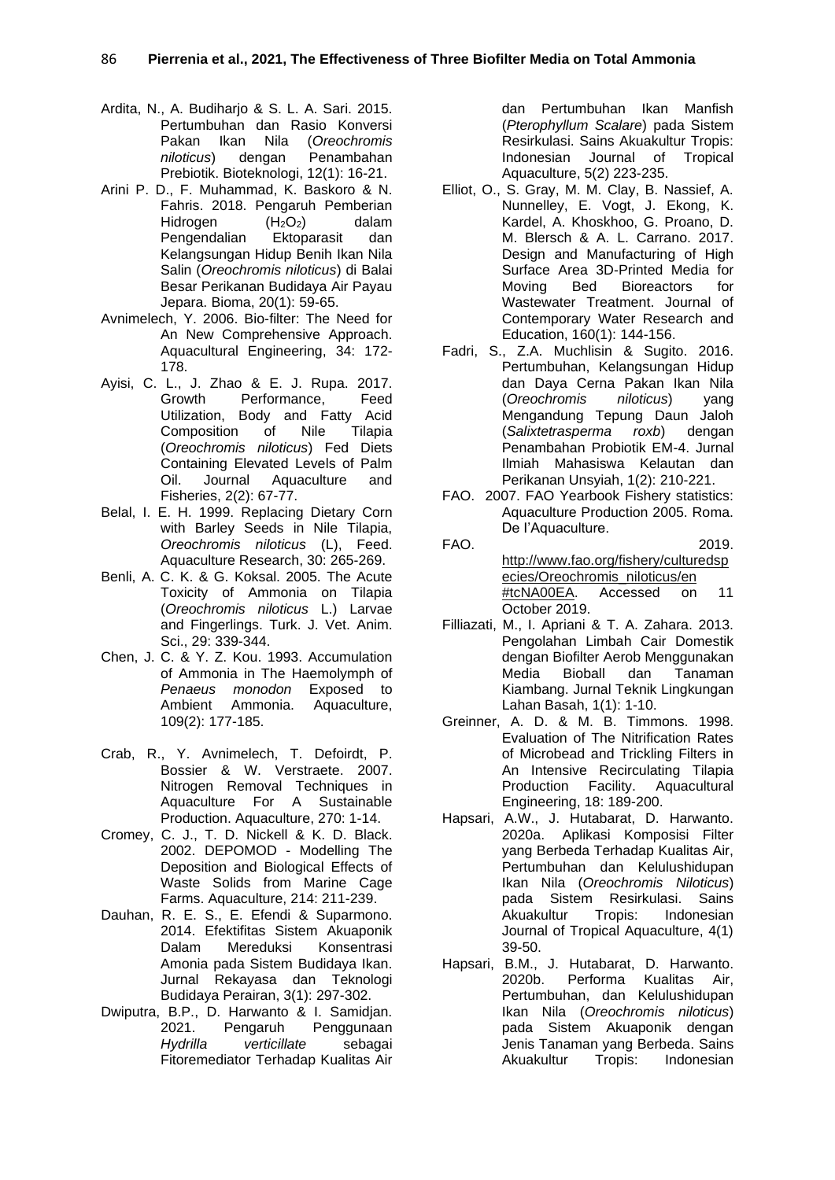- Ardita, N., A. Budiharjo & S. L. A. Sari. 2015. Pertumbuhan dan Rasio Konversi Pakan Ikan Nila (*Oreochromis niloticus*) dengan Penambahan Prebiotik. Bioteknologi, 12(1): 16-21.
- Arini P. D., F. Muhammad, K. Baskoro & N. Fahris. 2018. Pengaruh Pemberian<br>Hidrogen (H<sub>2</sub>O<sub>2</sub>) dalam Hidrogen  $(H_2O_2)$ <br>Pengendalian Ektoparasit Pengendalian Ektoparasit dan Kelangsungan Hidup Benih Ikan Nila Salin (*Oreochromis niloticus*) di Balai Besar Perikanan Budidaya Air Payau Jepara. Bioma, 20(1): 59-65.
- Avnimelech, Y. 2006. Bio-filter: The Need for An New Comprehensive Approach. Aquacultural Engineering, 34: 172- 178.
- Ayisi, C. L., J. Zhao & E. J. Rupa. 2017. Growth Performance, Feed Utilization, Body and Fatty Acid<br>Composition of Nile Tilapia Composition of Nile Tilapia (*Oreochromis niloticus*) Fed Diets Containing Elevated Levels of Palm Oil. Journal Aquaculture and Fisheries, 2(2): 67-77.
- Belal, I. E. H. 1999. Replacing Dietary Corn with Barley Seeds in Nile Tilapia, *Oreochromis niloticus* (L), Feed. Aquaculture Research, 30: 265-269.
- Benli, A. C. K. & G. Koksal. 2005. The Acute Toxicity of Ammonia on Tilapia (*Oreochromis niloticus* L.) Larvae and Fingerlings. Turk. J. Vet. Anim. Sci., 29: 339-344.
- Chen, J. C. & Y. Z. Kou. 1993. Accumulation of Ammonia in The Haemolymph of *Penaeus monodon* Exposed to Ambient Ammonia. Aquaculture, 109(2): 177-185.
- Crab, R., Y. Avnimelech, T. Defoirdt, P. Bossier & W. Verstraete. 2007. Nitrogen Removal Techniques in Aquaculture For A Sustainable Production. Aquaculture, 270: 1-14.
- Cromey, C. J., T. D. Nickell & K. D. Black. 2002. DEPOMOD - Modelling The Deposition and Biological Effects of Waste Solids from Marine Cage Farms. Aquaculture, 214: 211-239.
- Dauhan, R. E. S., E. Efendi & Suparmono. 2014. Efektifitas Sistem Akuaponik Dalam Mereduksi Konsentrasi Amonia pada Sistem Budidaya Ikan. Jurnal Rekayasa dan Teknologi Budidaya Perairan, 3(1): 297-302.
- Dwiputra, B.P., D. Harwanto & I. Samidjan. 2021. Pengaruh Penggunaan *Hydrilla verticillate* sebagai Fitoremediator Terhadap Kualitas Air

dan Pertumbuhan Ikan Manfish (*Pterophyllum Scalare*) pada Sistem Resirkulasi. Sains Akuakultur Tropis: Indonesian Journal of Tropical Aquaculture, 5(2) 223-235.

- Elliot, O., S. Gray, M. M. Clay, B. Nassief, A. Nunnelley, E. Vogt, J. Ekong, K. Kardel, A. Khoskhoo, G. Proano, D. M. Blersch & A. L. Carrano. 2017. Design and Manufacturing of High Surface Area 3D-Printed Media for Moving Bed Bioreactors for Wastewater Treatment. Journal of Contemporary Water Research and Education, 160(1): 144-156.
- Fadri, S., Z.A. Muchlisin & Sugito. 2016. Pertumbuhan, Kelangsungan Hidup dan Daya Cerna Pakan Ikan Nila (*Oreochromis niloticus*) yang Mengandung Tepung Daun Jaloh (*Salixtetrasperma roxb*) dengan Penambahan Probiotik EM-4. Jurnal Ilmiah Mahasiswa Kelautan dan Perikanan Unsyiah, 1(2): 210-221.
- FAO. 2007. FAO Yearbook Fishery statistics: Aquaculture Production 2005. Roma. De I'Aquaculture.
- FAO. 2019. [http://www.fao.org/fishery/culturedsp](http://www.fao.org/fishery/culturedspecies/Oreochromis_niloticus/en#tcNA00EA) [ecies/Oreochromis\\_niloticus/en](http://www.fao.org/fishery/culturedspecies/Oreochromis_niloticus/en#tcNA00EA)  [#tcNA00EA.](http://www.fao.org/fishery/culturedspecies/Oreochromis_niloticus/en#tcNA00EA) Accessed on 11 October 2019.
- Filliazati, M., I. Apriani & T. A. Zahara. 2013. Pengolahan Limbah Cair Domestik dengan Biofilter Aerob Menggunakan Media Bioball dan Tanaman Kiambang. Jurnal Teknik Lingkungan Lahan Basah, 1(1): 1-10.
- Greinner, A. D. & M. B. Timmons. 1998. Evaluation of The Nitrification Rates of Microbead and Trickling Filters in An Intensive Recirculating Tilapia Production Facility. Aquacultural Engineering, 18: 189-200.
- Hapsari, A.W., J. Hutabarat, D. Harwanto. 2020a. Aplikasi Komposisi Filter yang Berbeda Terhadap Kualitas Air, Pertumbuhan dan Kelulushidupan Ikan Nila (*Oreochromis Niloticus*) pada Sistem Resirkulasi. Sains Akuakultur Tropis: Indonesian Journal of Tropical Aquaculture, 4(1) 39-50.
- Hapsari, B.M., J. Hutabarat, D. Harwanto. 2020b. Performa Kualitas Air, Pertumbuhan, dan Kelulushidupan Ikan Nila (*Oreochromis niloticus*) pada Sistem Akuaponik dengan Jenis Tanaman yang Berbeda. Sains Akuakultur Tropis: Indonesian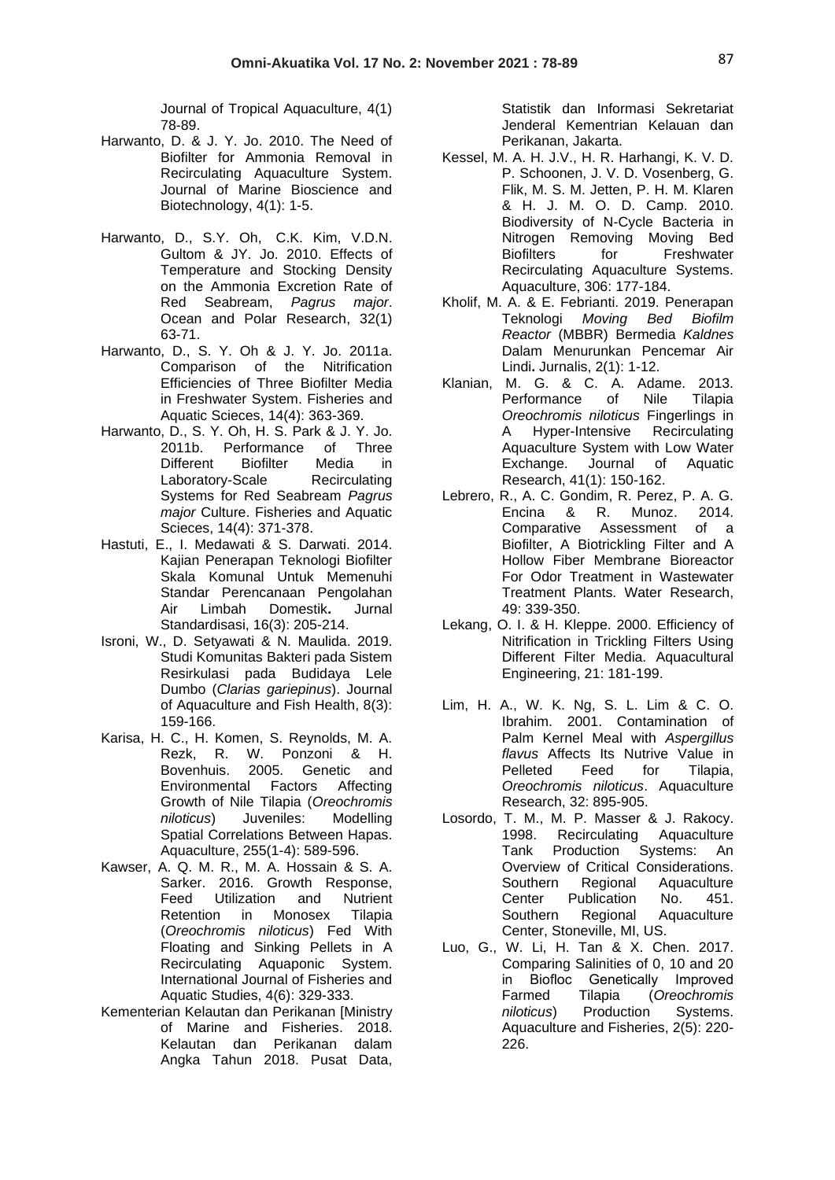Journal of Tropical Aquaculture, 4(1) 78-89.

- Harwanto, D. & J. Y. Jo. 2010. The Need of Biofilter for Ammonia Removal in Recirculating Aquaculture System. Journal of Marine Bioscience and Biotechnology, 4(1): 1-5.
- [Harwanto, D., S](http://doi.or.kr/10.PSN/ADPER6802488013).Y. [Oh,](http://doi.or.kr/10.PSN/ADPER0000126591) C.K. [Kim, V](http://doi.or.kr/10.PSN/ADPER0000084540).D.N. Gultom & JY. [Jo. 2010. E](http://doi.or.kr/10.PSN/ADPER0000096939)ffects of Temperature and Stocking Density on the Ammonia Excretion Rate of Red Seabream, *Pagrus major*. [Ocean and Polar Research,](https://www.koreascience.or.kr/journal/HOGBB1.page) 32(1) 63-71.
- Harwanto, D., S. Y. Oh & J. Y. Jo. 2011a. Comparison of the Nitrification Efficiencies of Three Biofilter Media in Freshwater System. Fisheries and Aquatic Scieces, 14(4): 363-369.
- Harwanto, D., S. Y. Oh, H. S. Park & J. Y. Jo. 2011b. Performance of Three Different Biofilter Media in Laboratory-Scale Recirculating Systems for Red Seabream *Pagrus major* Culture. Fisheries and Aquatic Scieces, 14(4): 371-378.
- Hastuti, E., I. Medawati & S. Darwati. 2014. Kajian Penerapan Teknologi Biofilter Skala Komunal Untuk Memenuhi Standar Perencanaan Pengolahan Air Limbah Domestik**.** Jurnal Standardisasi, 16(3): 205-214.
- Isroni, W., D. Setyawati & N. Maulida. 2019. Studi Komunitas Bakteri pada Sistem Resirkulasi pada Budidaya Lele Dumbo (*Clarias gariepinus*). Journal of Aquaculture and Fish Health, 8(3): 159-166.
- Karisa, H. C., H. Komen, S. Reynolds, M. A. Rezk, R. W. Ponzoni & H. Bovenhuis. 2005. Genetic and Environmental Factors Affecting Growth of Nile Tilapia (*Oreochromis niloticus*) Juveniles: Modelling Spatial Correlations Between Hapas. Aquaculture, 255(1-4): 589-596.
- Kawser, A. Q. M. R., M. A. Hossain & S. A. Sarker. 2016. Growth Response,<br>Feed Utilization and Nutrient Utilization and Retention in Monosex Tilapia (*Oreochromis niloticus*) Fed With Floating and Sinking Pellets in A Recirculating Aquaponic System. International Journal of Fisheries and Aquatic Studies, 4(6): 329-333.
- Kementerian Kelautan dan Perikanan [Ministry of Marine and Fisheries. 2018. Kelautan dan Perikanan dalam Angka Tahun 2018. Pusat Data,

Statistik dan Informasi Sekretariat Jenderal Kementrian Kelauan dan Perikanan, Jakarta.

- Kessel, M. A. H. J.V., H. R. Harhangi, K. V. D. P. Schoonen, J. V. D. Vosenberg, G. Flik, M. S. M. Jetten, P. H. M. Klaren & H. J. M. O. D. Camp. 2010. Biodiversity of N-Cycle Bacteria in Nitrogen Removing Moving Bed Biofilters for Freshwater Recirculating Aquaculture Systems. Aquaculture, 306: 177-184.
- Kholif, M. A. & E. Febrianti. 2019. Penerapan Teknologi *Moving Bed Biofilm Reactor* (MBBR) Bermedia *Kaldnes*  Dalam Menurunkan Pencemar Air Lindi**.** Jurnalis, 2(1): 1-12.
- Klanian, M. G. & C. A. Adame. 2013. Performance of Nile Tilapia *Oreochromis niloticus* Fingerlings in A Hyper-Intensive Recirculating Aquaculture System with Low Water Exchange. Journal of Aquatic Research, 41(1): 150-162.
- Lebrero, R., A. C. Gondim, R. Perez, P. A. G. Encina & R. Munoz. 2014. Comparative Assessment of a Biofilter, A Biotrickling Filter and A Hollow Fiber Membrane Bioreactor For Odor Treatment in Wastewater Treatment Plants. Water Research, 49: 339-350.
- Lekang, O. I. & H. Kleppe. 2000. Efficiency of Nitrification in Trickling Filters Using Different Filter Media. Aquacultural Engineering, 21: 181-199.
- Lim, H. A., W. K. Ng, S. L. Lim & C. O. Ibrahim. 2001. Contamination of Palm Kernel Meal with *Aspergillus flavus* Affects Its Nutrive Value in Pelleted Feed for Tilapia, *Oreochromis niloticus*. Aquaculture Research, 32: 895-905.
- Losordo, T. M., M. P. Masser & J. Rakocy. 1998. Recirculating Aquaculture Tank Production Systems: An Overview of Critical Considerations. Southern Regional Aquaculture<br>Center Publication No. 451. Center Publication No. 451. Southern Regional Aquaculture Center, Stoneville, MI, US.
- Luo, G., W. Li, H. Tan & X. Chen. 2017. Comparing Salinities of 0, 10 and 20 in Biofloc Genetically Improved Farmed Tilapia (*Oreochromis niloticus*) Production Systems. Aquaculture and Fisheries, 2(5): 220- 226.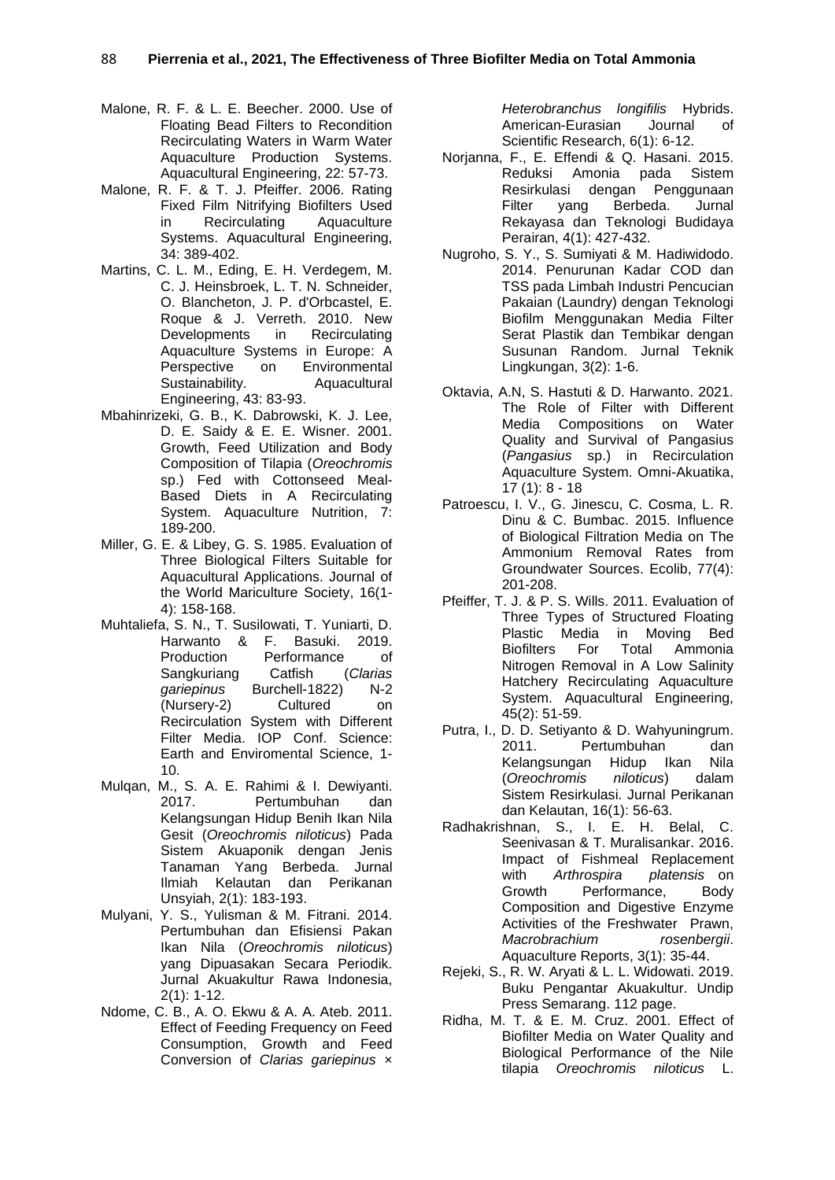- Malone, R. F. & L. E. Beecher. 2000. Use of Floating Bead Filters to Recondition Recirculating Waters in Warm Water Aquaculture Production Systems. Aquacultural Engineering, 22: 57-73.
- Malone, R. F. & T. J. Pfeiffer. 2006. Rating Fixed Film Nitrifying Biofilters Used<br>in Recirculating Aquaculture in Recirculating Systems. Aquacultural Engineering, 34: 389-402.
- Martins, C. L. M., Eding, E. H. Verdegem, M. C. J. Heinsbroek, L. T. N. Schneider, O. Blancheton, J. P. d'Orbcastel, E. Roque & J. Verreth. 2010. New Developments in Recirculating Aquaculture Systems in Europe: A Perspective on Environmental Sustainability. Aquacultural Engineering, 43: 83-93.
- Mbahinrizeki, G. B., K. Dabrowski, K. J. Lee, D. E. Saidy & E. E. Wisner. 2001. Growth, Feed Utilization and Body Composition of Tilapia (*Oreochromis* sp.) Fed with Cottonseed Meal-Based Diets in A Recirculating System. Aquaculture Nutrition, 7: 189-200.
- Miller, G. E. & Libey, G. S. 1985. Evaluation of Three Biological Filters Suitable for Aquacultural Applications. Journal of the World Mariculture Society, 16(1- 4): 158-168.
- Muhtaliefa, S. N., T. Susilowati, T. Yuniarti, D. Harwanto & F. Basuki. 2019. Production Performance of Sangkuriang Catfish (*Clarias gariepinus* Burchell-1822) N-2 (Nursery-2) Cultured on Recirculation System with Different Filter Media. IOP Conf. Science: Earth and Enviromental Science, 1- 10.
- Mulqan, M., S. A. E. Rahimi & I. Dewiyanti. 2017. Pertumbuhan dan Kelangsungan Hidup Benih Ikan Nila Gesit (*Oreochromis niloticus*) Pada Sistem Akuaponik dengan Jenis Tanaman Yang Berbeda. Jurnal Ilmiah Kelautan dan Perikanan Unsyiah, 2(1): 183-193.
- Mulyani, Y. S., Yulisman & M. Fitrani. 2014. Pertumbuhan dan Efisiensi Pakan Ikan Nila (*Oreochromis niloticus*) yang Dipuasakan Secara Periodik. Jurnal Akuakultur Rawa Indonesia, 2(1): 1-12.
- Ndome, C. B., A. O. Ekwu & A. A. Ateb. 2011. Effect of Feeding Frequency on Feed Consumption, Growth and Feed Conversion of *Clarias gariepinus* ×

*Heterobranchus longifilis* Hybrids. American-Eurasian Journal of Scientific Research, 6(1): 6-12.

- Norjanna, F., E. Effendi & Q. Hasani. 2015. Reduksi Amonia pada Sistem Resirkulasi dengan Penggunaan Filter yang Berbeda. Jurnal Rekayasa dan Teknologi Budidaya Perairan, 4(1): 427-432.
- Nugroho, S. Y., S. Sumiyati & M. Hadiwidodo. 2014. Penurunan Kadar COD dan TSS pada Limbah Industri Pencucian Pakaian (Laundry) dengan Teknologi Biofilm Menggunakan Media Filter Serat Plastik dan Tembikar dengan Susunan Random. Jurnal Teknik Lingkungan, 3(2): 1-6.
- Oktavia, A.N, S. Hastuti & D. Harwanto. 2021. The Role of Filter with Different Media Compositions on Water Quality and Survival of Pangasius (*Pangasius* sp.) in Recirculation Aquaculture System. Omni-Akuatika,  $17(1): 8 - 18$
- Patroescu, I. V., G. Jinescu, C. Cosma, L. R. Dinu & C. Bumbac. 2015. Influence of Biological Filtration Media on The Ammonium Removal Rates from Groundwater Sources. Ecolib, 77(4): 201-208.
- Pfeiffer, T. J. & P. S. Wills. 2011. Evaluation of Three Types of Structured Floating Plastic Media in Moving Bed Biofilters For Total Ammonia Nitrogen Removal in A Low Salinity Hatchery Recirculating Aquaculture System. Aquacultural Engineering, 45(2): 51-59.
- Putra, I., D. D. Setiyanto & D. Wahyuningrum. 2011. Pertumbuhan dan Kelangsungan Hidup Ikan Nila (*Oreochromis niloticus*) dalam Sistem Resirkulasi. Jurnal Perikanan dan Kelautan, 16(1): 56-63.
- Radhakrishnan, S., I. E. H. Belal, C. Seenivasan & T. Muralisankar. 2016. Impact of Fishmeal Replacement with *Arthrospira platensis* on Growth Performance, Body Composition and Digestive Enzyme Activities of the Freshwater Prawn, *Macrobrachium rosenbergii*. Aquaculture Reports, 3(1): 35-44.
- Rejeki, S., R. W. Aryati & L. L. Widowati. 2019. Buku Pengantar Akuakultur. Undip Press Semarang. 112 page.
- Ridha, M. T. & E. M. Cruz. 2001. Effect of Biofilter Media on Water Quality and Biological Performance of the Nile tilapia *Oreochromis niloticus* L.